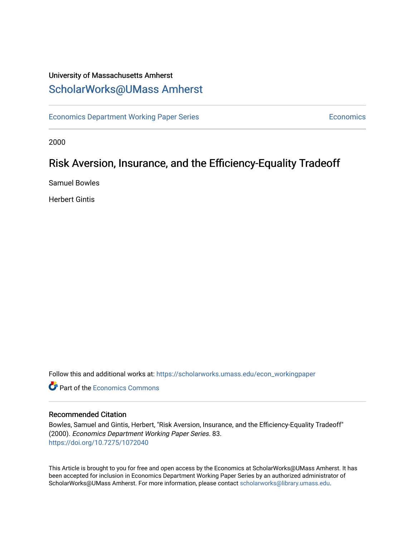# University of Massachusetts Amherst [ScholarWorks@UMass Amherst](https://scholarworks.umass.edu/)

[Economics Department Working Paper Series](https://scholarworks.umass.edu/econ_workingpaper) **Economics** Economics

2000

# Risk Aversion, Insurance, and the Efficiency-Equality Tradeoff

Samuel Bowles

Herbert Gintis

Follow this and additional works at: [https://scholarworks.umass.edu/econ\\_workingpaper](https://scholarworks.umass.edu/econ_workingpaper?utm_source=scholarworks.umass.edu%2Fecon_workingpaper%2F83&utm_medium=PDF&utm_campaign=PDFCoverPages) 

**C** Part of the [Economics Commons](http://network.bepress.com/hgg/discipline/340?utm_source=scholarworks.umass.edu%2Fecon_workingpaper%2F83&utm_medium=PDF&utm_campaign=PDFCoverPages)

## Recommended Citation

Bowles, Samuel and Gintis, Herbert, "Risk Aversion, Insurance, and the Efficiency-Equality Tradeoff" (2000). Economics Department Working Paper Series. 83. <https://doi.org/10.7275/1072040>

This Article is brought to you for free and open access by the Economics at ScholarWorks@UMass Amherst. It has been accepted for inclusion in Economics Department Working Paper Series by an authorized administrator of ScholarWorks@UMass Amherst. For more information, please contact [scholarworks@library.umass.edu.](mailto:scholarworks@library.umass.edu)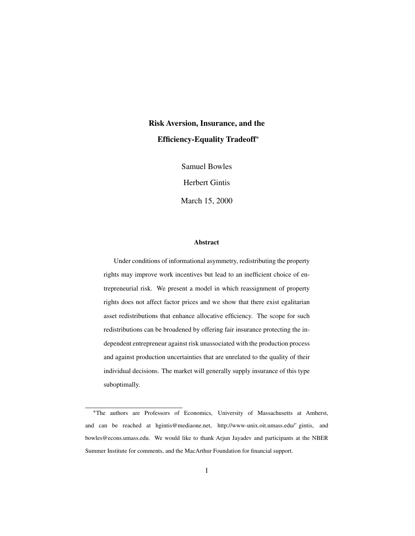# **Risk Aversion, Insurance, and the Efficiency-Equality Tradeoff**<sup>∗</sup>

Samuel Bowles

Herbert Gintis

March 15, 2000

#### **Abstract**

Under conditions of informational asymmetry, redistributing the property rights may improve work incentives but lead to an inefficient choice of entrepreneurial risk. We present a model in which reassignment of property rights does not affect factor prices and we show that there exist egalitarian asset redistributions that enhance allocative efficiency. The scope for such redistributions can be broadened by offering fair insurance protecting the independent entrepreneur against risk unassociated with the production process and against production uncertainties that are unrelated to the quality of their individual decisions. The market will generally supply insurance of this type suboptimally.

<sup>∗</sup>The authors are Professors of Economics, University of Massachusetts at Amherst, and can be reached at hgintis@mediaone.net, http://www-unix.oit.umass.edu/˜ gintis, and bowles@econs.umass.edu. We would like to thank Arjun Jayadev and participants at the NBER Summer Institute for comments, and the MacArthur Foundation for financial support.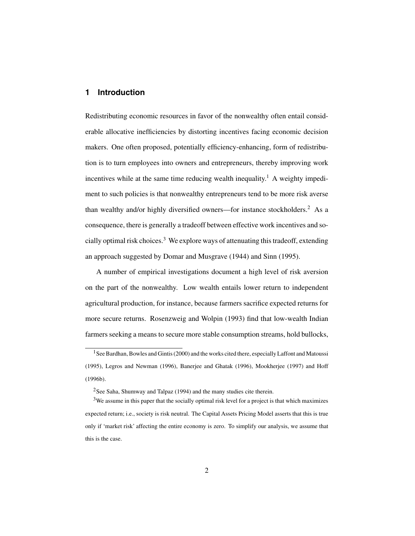## **1 Introduction**

Redistributing economic resources in favor of the nonwealthy often entail considerable allocative inefficiencies by distorting incentives facing economic decision makers. One often proposed, potentially efficiency-enhancing, form of redistribution is to turn employees into owners and entrepreneurs, thereby improving work incentives while at the same time reducing wealth inequality.<sup>1</sup> A weighty impediment to such policies is that nonwealthy entrepreneurs tend to be more risk averse than wealthy and/or highly diversified owners—for instance stockholders.<sup>2</sup> As a consequence, there is generally a tradeoff between effective work incentives and socially optimal risk choices.<sup>3</sup> We explore ways of attenuating this tradeoff, extending an approach suggested by Domar and Musgrave (1944) and Sinn (1995).

A number of empirical investigations document a high level of risk aversion on the part of the nonwealthy. Low wealth entails lower return to independent agricultural production, for instance, because farmers sacrifice expected returns for more secure returns. Rosenzweig and Wolpin (1993) find that low-wealth Indian farmers seeking a means to secure more stable consumption streams, hold bullocks,

<sup>&</sup>lt;sup>1</sup> See Bardhan, Bowles and Gintis (2000) and the works cited there, especially Laffont and Matoussi (1995), Legros and Newman (1996), Banerjee and Ghatak (1996), Mookherjee (1997) and Hoff (1996b).

<sup>&</sup>lt;sup>2</sup>See Saha, Shumway and Talpaz (1994) and the many studies cite therein.

<sup>&</sup>lt;sup>3</sup>We assume in this paper that the socially optimal risk level for a project is that which maximizes expected return; i.e., society is risk neutral. The Capital Assets Pricing Model asserts that this is true only if 'market risk' affecting the entire economy is zero. To simplify our analysis, we assume that this is the case.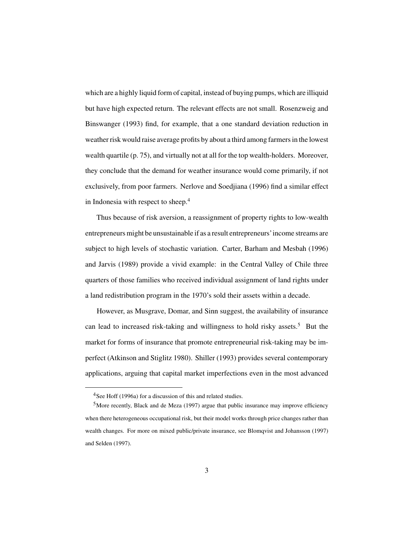which are a highly liquid form of capital, instead of buying pumps, which are illiquid but have high expected return. The relevant effects are not small. Rosenzweig and Binswanger (1993) find, for example, that a one standard deviation reduction in weather risk would raise average profits by about a third among farmers in the lowest wealth quartile (p. 75), and virtually not at all for the top wealth-holders. Moreover, they conclude that the demand for weather insurance would come primarily, if not exclusively, from poor farmers. Nerlove and Soedjiana (1996) find a similar effect in Indonesia with respect to sheep.<sup>4</sup>

Thus because of risk aversion, a reassignment of property rights to low-wealth entrepreneurs might be unsustainable if as a result entrepreneurs'income streams are subject to high levels of stochastic variation. Carter, Barham and Mesbah (1996) and Jarvis (1989) provide a vivid example: in the Central Valley of Chile three quarters of those families who received individual assignment of land rights under a land redistribution program in the 1970's sold their assets within a decade.

However, as Musgrave, Domar, and Sinn suggest, the availability of insurance can lead to increased risk-taking and willingness to hold risky assets.<sup>5</sup> But the market for forms of insurance that promote entrepreneurial risk-taking may be imperfect (Atkinson and Stiglitz 1980). Shiller (1993) provides several contemporary applications, arguing that capital market imperfections even in the most advanced

<sup>4</sup>See Hoff (1996a) for a discussion of this and related studies.

<sup>5</sup>More recently, Black and de Meza (1997) argue that public insurance may improve efficiency when there heterogeneous occupational risk, but their model works through price changes rather than wealth changes. For more on mixed public/private insurance, see Blomqvist and Johansson (1997) and Selden (1997).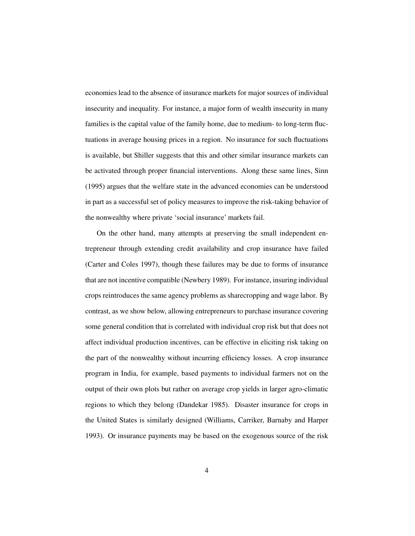economies lead to the absence of insurance markets for major sources of individual insecurity and inequality. For instance, a major form of wealth insecurity in many families is the capital value of the family home, due to medium- to long-term fluctuations in average housing prices in a region. No insurance for such fluctuations is available, but Shiller suggests that this and other similar insurance markets can be activated through proper financial interventions. Along these same lines, Sinn (1995) argues that the welfare state in the advanced economies can be understood in part as a successful set of policy measures to improve the risk-taking behavior of the nonwealthy where private 'social insurance' markets fail.

On the other hand, many attempts at preserving the small independent entrepreneur through extending credit availability and crop insurance have failed (Carter and Coles 1997), though these failures may be due to forms of insurance that are not incentive compatible (Newbery 1989). For instance, insuring individual crops reintroduces the same agency problems as sharecropping and wage labor. By contrast, as we show below, allowing entrepreneurs to purchase insurance covering some general condition that is correlated with individual crop risk but that does not affect individual production incentives, can be effective in eliciting risk taking on the part of the nonwealthy without incurring efficiency losses. A crop insurance program in India, for example, based payments to individual farmers not on the output of their own plots but rather on average crop yields in larger agro-climatic regions to which they belong (Dandekar 1985). Disaster insurance for crops in the United States is similarly designed (Williams, Carriker, Barnaby and Harper 1993). Or insurance payments may be based on the exogenous source of the risk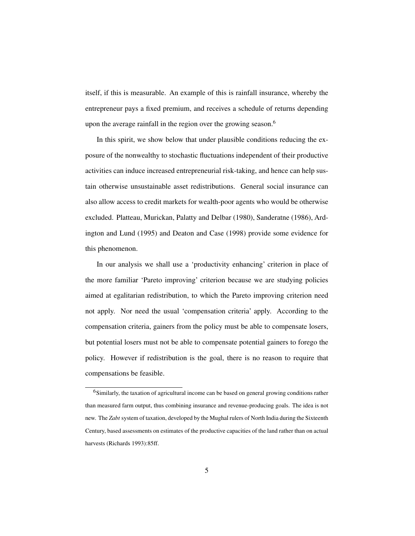itself, if this is measurable. An example of this is rainfall insurance, whereby the entrepreneur pays a fixed premium, and receives a schedule of returns depending upon the average rainfall in the region over the growing season.<sup>6</sup>

In this spirit, we show below that under plausible conditions reducing the exposure of the nonwealthy to stochastic fluctuations independent of their productive activities can induce increased entrepreneurial risk-taking, and hence can help sustain otherwise unsustainable asset redistributions. General social insurance can also allow access to credit markets for wealth-poor agents who would be otherwise excluded. Platteau, Murickan, Palatty and Delbar (1980), Sanderatne (1986), Ardington and Lund (1995) and Deaton and Case (1998) provide some evidence for this phenomenon.

In our analysis we shall use a 'productivity enhancing' criterion in place of the more familiar 'Pareto improving' criterion because we are studying policies aimed at egalitarian redistribution, to which the Pareto improving criterion need not apply. Nor need the usual 'compensation criteria' apply. According to the compensation criteria, gainers from the policy must be able to compensate losers, but potential losers must not be able to compensate potential gainers to forego the policy. However if redistribution is the goal, there is no reason to require that compensations be feasible.

<sup>&</sup>lt;sup>6</sup>Similarly, the taxation of agricultural income can be based on general growing conditions rather than measured farm output, thus combining insurance and revenue-producing goals. The idea is not new. The *Zabt* system of taxation, developed by the Mughal rulers of North India during the Sixteenth Century, based assessments on estimates of the productive capacities of the land rather than on actual harvests (Richards 1993):85ff.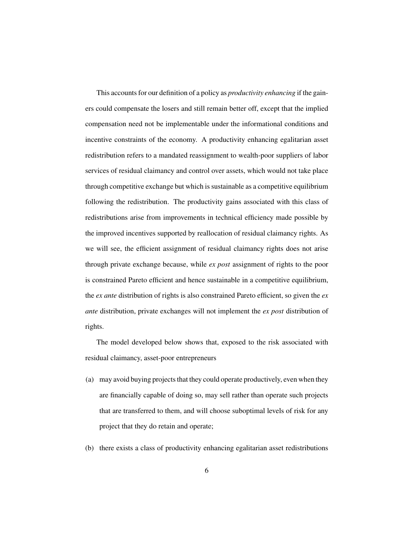This accounts for our definition of a policy as *productivity enhancing* if the gainers could compensate the losers and still remain better off, except that the implied compensation need not be implementable under the informational conditions and incentive constraints of the economy. A productivity enhancing egalitarian asset redistribution refers to a mandated reassignment to wealth-poor suppliers of labor services of residual claimancy and control over assets, which would not take place through competitive exchange but which is sustainable as a competitive equilibrium following the redistribution. The productivity gains associated with this class of redistributions arise from improvements in technical efficiency made possible by the improved incentives supported by reallocation of residual claimancy rights. As we will see, the efficient assignment of residual claimancy rights does not arise through private exchange because, while *ex post* assignment of rights to the poor is constrained Pareto efficient and hence sustainable in a competitive equilibrium, the *ex ante* distribution of rights is also constrained Pareto efficient, so given the *ex ante* distribution, private exchanges will not implement the *ex post* distribution of rights.

The model developed below shows that, exposed to the risk associated with residual claimancy, asset-poor entrepreneurs

- (a) may avoid buying projects that they could operate productively, even when they are financially capable of doing so, may sell rather than operate such projects that are transferred to them, and will choose suboptimal levels of risk for any project that they do retain and operate;
- (b) there exists a class of productivity enhancing egalitarian asset redistributions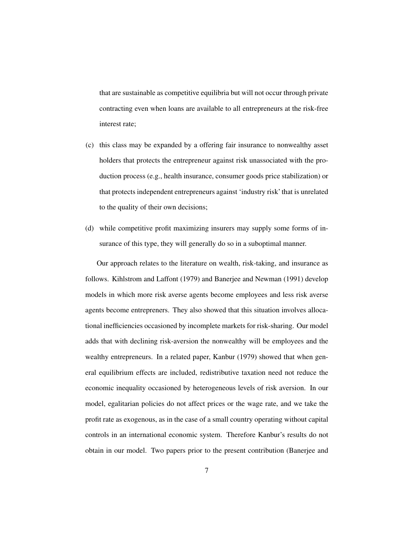that are sustainable as competitive equilibria but will not occur through private contracting even when loans are available to all entrepreneurs at the risk-free interest rate;

- (c) this class may be expanded by a offering fair insurance to nonwealthy asset holders that protects the entrepreneur against risk unassociated with the production process (e.g., health insurance, consumer goods price stabilization) or that protects independent entrepreneurs against 'industry risk' that is unrelated to the quality of their own decisions;
- (d) while competitive profit maximizing insurers may supply some forms of insurance of this type, they will generally do so in a suboptimal manner.

Our approach relates to the literature on wealth, risk-taking, and insurance as follows. Kihlstrom and Laffont (1979) and Banerjee and Newman (1991) develop models in which more risk averse agents become employees and less risk averse agents become entrepreners. They also showed that this situation involves allocational inefficiencies occasioned by incomplete markets for risk-sharing. Our model adds that with declining risk-aversion the nonwealthy will be employees and the wealthy entrepreneurs. In a related paper, Kanbur (1979) showed that when general equilibrium effects are included, redistributive taxation need not reduce the economic inequality occasioned by heterogeneous levels of risk aversion. In our model, egalitarian policies do not affect prices or the wage rate, and we take the profit rate as exogenous, as in the case of a small country operating without capital controls in an international economic system. Therefore Kanbur's results do not obtain in our model. Two papers prior to the present contribution (Banerjee and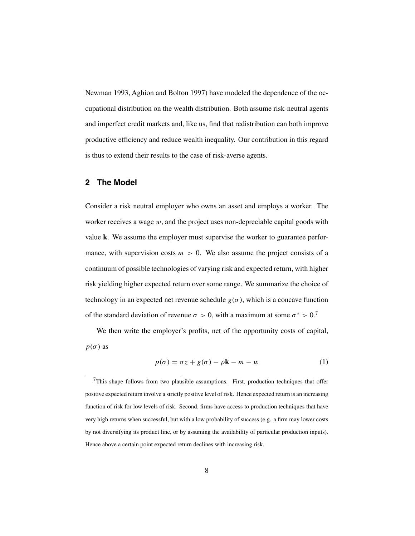Newman 1993, Aghion and Bolton 1997) have modeled the dependence of the occupational distribution on the wealth distribution. Both assume risk-neutral agents and imperfect credit markets and, like us, find that redistribution can both improve productive efficiency and reduce wealth inequality. Our contribution in this regard is thus to extend their results to the case of risk-averse agents.

# **2 The Model**

Consider a risk neutral employer who owns an asset and employs a worker. The worker receives a wage  $w$ , and the project uses non-depreciable capital goods with value **k**. We assume the employer must supervise the worker to guarantee performance, with supervision costs  $m > 0$ . We also assume the project consists of a continuum of possible technologies of varying risk and expected return, with higher risk yielding higher expected return over some range. We summarize the choice of technology in an expected net revenue schedule  $g(\sigma)$ , which is a concave function of the standard deviation of revenue  $\sigma > 0$ , with a maximum at some  $\sigma^* > 0$ .<sup>7</sup>

We then write the employer's profits, net of the opportunity costs of capital,  $p(\sigma)$  as

$$
p(\sigma) = \sigma z + g(\sigma) - \rho \mathbf{k} - m - w \tag{1}
$$

 $7$ This shape follows from two plausible assumptions. First, production techniques that offer positive expected return involve a strictly positive level of risk. Hence expected return is an increasing function of risk for low levels of risk. Second, firms have access to production techniques that have very high returns when successful, but with a low probability of success (e.g. a firm may lower costs by not diversifying its product line, or by assuming the availability of particular production inputs). Hence above a certain point expected return declines with increasing risk.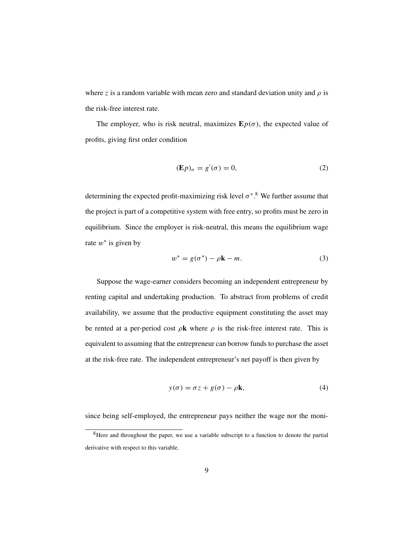where z is a random variable with mean zero and standard deviation unity and  $\rho$  is the risk-free interest rate.

The employer, who is risk neutral, maximizes  $Ep(\sigma)$ , the expected value of profits, giving first order condition

$$
(\mathbf{E}p)_{\sigma} = g'(\sigma) = 0,\tag{2}
$$

determining the expected profit-maximizing risk level  $\sigma^{*}$ .<sup>8</sup> We further assume that the project is part of a competitive system with free entry, so profits must be zero in equilibrium. Since the employer is risk-neutral, this means the equilibrium wage rate  $w^*$  is given by

$$
w^* = g(\sigma^*) - \rho \mathbf{k} - m. \tag{3}
$$

Suppose the wage-earner considers becoming an independent entrepreneur by renting capital and undertaking production. To abstract from problems of credit availability, we assume that the productive equipment constituting the asset may be rented at a per-period cost  $\rho$ **k** where  $\rho$  is the risk-free interest rate. This is equivalent to assuming that the entrepreneur can borrow funds to purchase the asset at the risk-free rate. The independent entrepreneur's net payoff is then given by

$$
y(\sigma) = \sigma z + g(\sigma) - \rho \mathbf{k},\tag{4}
$$

since being self-employed, the entrepreneur pays neither the wage nor the moni-

<sup>&</sup>lt;sup>8</sup>Here and throughout the paper, we use a variable subscript to a function to denote the partial derivative with respect to this variable.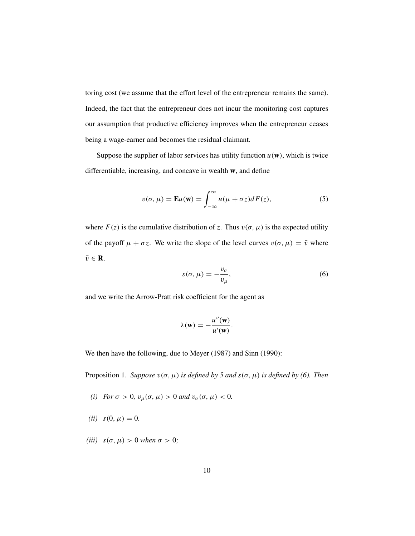toring cost (we assume that the effort level of the entrepreneur remains the same). Indeed, the fact that the entrepreneur does not incur the monitoring cost captures our assumption that productive efficiency improves when the entrepreneur ceases being a wage-earner and becomes the residual claimant.

Suppose the supplier of labor services has utility function  $u(\mathbf{w})$ , which is twice differentiable, increasing, and concave in wealth **w**, and define

$$
v(\sigma, \mu) = \mathbf{E}u(\mathbf{w}) = \int_{-\infty}^{\infty} u(\mu + \sigma z) dF(z), \tag{5}
$$

where  $F(z)$  is the cumulative distribution of z. Thus  $v(\sigma, \mu)$  is the expected utility of the payoff  $\mu + \sigma z$ . We write the slope of the level curves  $v(\sigma, \mu) = \bar{v}$  where  $\bar{v} \in \mathbf{R}$ .

$$
s(\sigma, \mu) = -\frac{v_{\sigma}}{v_{\mu}},
$$
\n(6)

and we write the Arrow-Pratt risk coefficient for the agent as

$$
\lambda(\mathbf{w}) = -\frac{u''(\mathbf{w})}{u'(\mathbf{w})}.
$$

We then have the following, due to Meyer (1987) and Sinn (1990):

Proposition 1. *Suppose*  $v(\sigma, \mu)$  *is defined by 5 and*  $s(\sigma, \mu)$  *is defined by (6). Then* 

- *(i) For*  $\sigma > 0$ *,*  $v_{\mu}(\sigma, \mu) > 0$  *and*  $v_{\sigma}(\sigma, \mu) < 0$ *.*
- *(ii)*  $s(0, \mu) = 0$ .
- *(iii)*  $s(\sigma, \mu) > 0$  *when*  $\sigma > 0$ *;*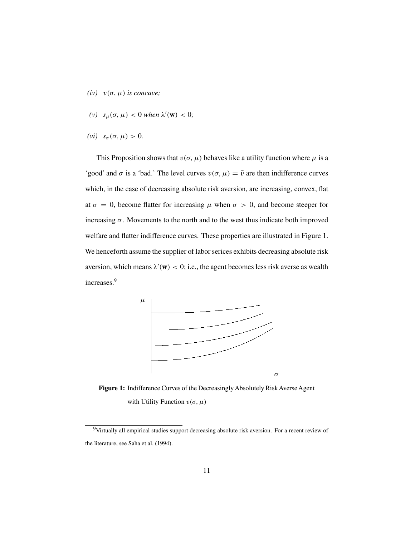- $(iv)$   $v(\sigma, \mu)$  *is concave*;
- (*v*)  $s_{\mu}(\sigma, \mu) < 0$  *when*  $\lambda'(\mathbf{w}) < 0$ ;
- $(vi)$   $s_{\sigma}(\sigma, \mu) > 0$ .

This Proposition shows that  $v(\sigma, \mu)$  behaves like a utility function where  $\mu$  is a 'good' and  $\sigma$  is a 'bad.' The level curves  $v(\sigma, \mu) = \bar{v}$  are then indifference curves which, in the case of decreasing absolute risk aversion, are increasing, convex, flat at  $\sigma = 0$ , become flatter for increasing  $\mu$  when  $\sigma > 0$ , and become steeper for increasing  $\sigma$ . Movements to the north and to the west thus indicate both improved welfare and flatter indifference curves. These properties are illustrated in Figure 1. We henceforth assume the supplier of labor serices exhibits decreasing absolute risk aversion, which means  $\lambda'(\mathbf{w}) < 0$ ; i.e., the agent becomes less risk averse as wealth increases.<sup>9</sup>



**Figure 1:** Indifference Curves of the Decreasingly Absolutely Risk Averse Agent with Utility Function  $v(\sigma, \mu)$ 

<sup>&</sup>lt;sup>9</sup>Virtually all empirical studies support decreasing absolute risk aversion. For a recent review of the literature, see Saha et al. (1994).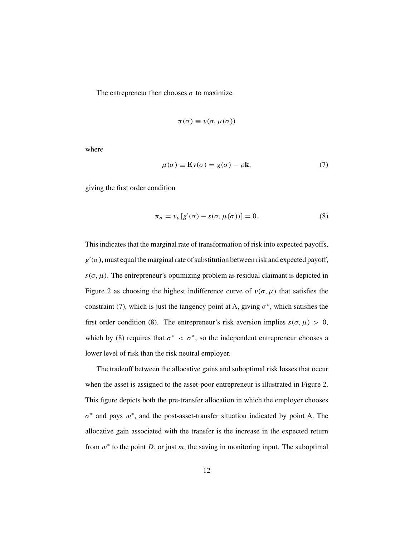The entrepreneur then chooses  $\sigma$  to maximize

$$
\pi(\sigma) \equiv v(\sigma, \mu(\sigma))
$$

where

$$
\mu(\sigma) \equiv \mathbf{E}y(\sigma) = g(\sigma) - \rho \mathbf{k},\tag{7}
$$

giving the first order condition

$$
\pi_{\sigma} = v_{\mu}[g'(\sigma) - s(\sigma, \mu(\sigma))] = 0.
$$
\n(8)

This indicates that the marginal rate of transformation of risk into expected payoffs,  $g'(\sigma)$ , must equal the marginal rate of substitution between risk and expected payoff,  $s(\sigma, \mu)$ . The entrepreneur's optimizing problem as residual claimant is depicted in Figure 2 as choosing the highest indifference curve of  $v(\sigma, \mu)$  that satisfies the constraint (7), which is just the tangency point at A, giving  $\sigma^o$ , which satisfies the first order condition (8). The entrepreneur's risk aversion implies  $s(\sigma, \mu) > 0$ , which by (8) requires that  $\sigma^o < \sigma^*$ , so the independent entrepreneur chooses a lower level of risk than the risk neutral employer.

The tradeoff between the allocative gains and suboptimal risk losses that occur when the asset is assigned to the asset-poor entrepreneur is illustrated in Figure 2. This figure depicts both the pre-transfer allocation in which the employer chooses  $\sigma^*$  and pays w<sup>\*</sup>, and the post-asset-transfer situation indicated by point A. The allocative gain associated with the transfer is the increase in the expected return from  $w^*$  to the point D, or just m, the saving in monitoring input. The suboptimal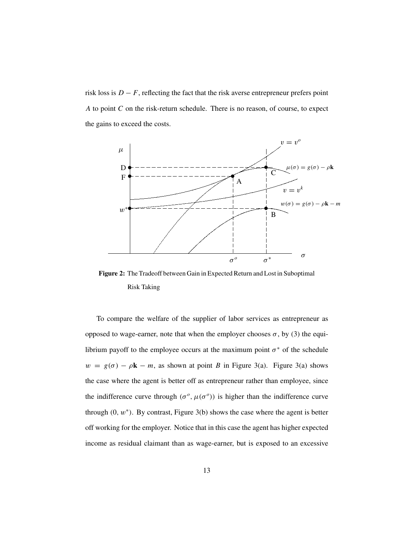risk loss is  $D - F$ , reflecting the fact that the risk averse entrepreneur prefers point A to point  $C$  on the risk-return schedule. There is no reason, of course, to expect the gains to exceed the costs.



**Figure 2:** The Tradeoff between Gain in Expected Return and Lost in Suboptimal Risk Taking

To compare the welfare of the supplier of labor services as entrepreneur as opposed to wage-earner, note that when the employer chooses  $σ$ , by (3) the equilibrium payoff to the employee occurs at the maximum point  $\sigma^*$  of the schedule  $w = g(\sigma) - \rho \mathbf{k} - m$ , as shown at point B in Figure 3(a). Figure 3(a) shows the case where the agent is better off as entrepreneur rather than employee, since the indifference curve through  $(\sigma^o, \mu(\sigma^o))$  is higher than the indifference curve through  $(0, w^*)$ . By contrast, Figure 3(b) shows the case where the agent is better off working for the employer. Notice that in this case the agent has higher expected income as residual claimant than as wage-earner, but is exposed to an excessive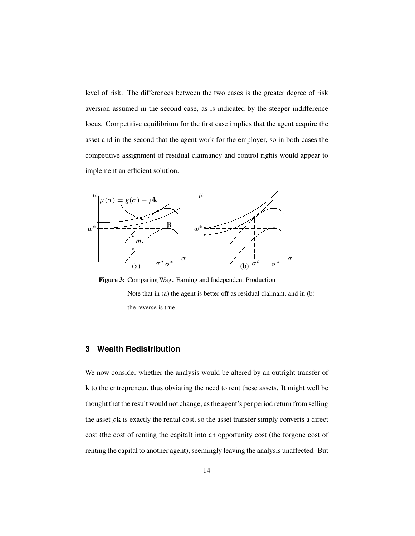level of risk. The differences between the two cases is the greater degree of risk aversion assumed in the second case, as is indicated by the steeper indifference locus. Competitive equilibrium for the first case implies that the agent acquire the asset and in the second that the agent work for the employer, so in both cases the competitive assignment of residual claimancy and control rights would appear to implement an efficient solution.



**Figure 3:** Comparing Wage Earning and Independent Production Note that in (a) the agent is better off as residual claimant, and in (b) the reverse is true.

## **3 Wealth Redistribution**

We now consider whether the analysis would be altered by an outright transfer of **k** to the entrepreneur, thus obviating the need to rent these assets. It might well be thought that the result would not change, as the agent's per period return from selling the asset  $\rho$ **k** is exactly the rental cost, so the asset transfer simply converts a direct cost (the cost of renting the capital) into an opportunity cost (the forgone cost of renting the capital to another agent), seemingly leaving the analysis unaffected. But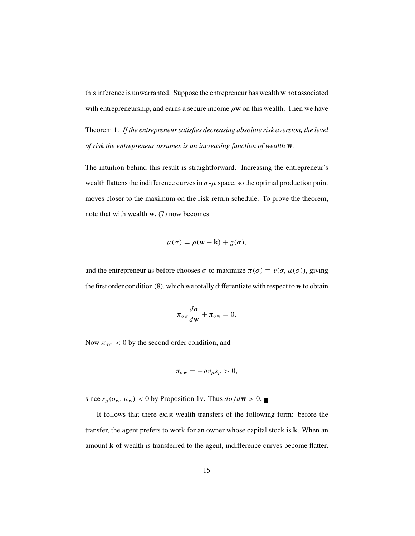this inference is unwarranted. Suppose the entrepreneur has wealth **w** not associated with entrepreneurship, and earns a secure income  $\rho$ **w** on this wealth. Then we have

Theorem 1. *If the entrepreneur satisfies decreasing absolute risk aversion, the level of risk the entrepreneur assumes is an increasing function of wealth* **w***.*

The intuition behind this result is straightforward. Increasing the entrepreneur's wealth flattens the indifference curves in  $\sigma$ - $\mu$  space, so the optimal production point moves closer to the maximum on the risk-return schedule. To prove the theorem, note that with wealth **w**, (7) now becomes

$$
\mu(\sigma) = \rho(\mathbf{w} - \mathbf{k}) + g(\sigma),
$$

and the entrepreneur as before chooses  $\sigma$  to maximize  $\pi(\sigma) \equiv v(\sigma, \mu(\sigma))$ , giving the first order condition (8), which we totally differentiate with respect to **w** to obtain

$$
\pi_{\sigma\sigma}\frac{d\sigma}{d\mathbf{w}} + \pi_{\sigma\mathbf{w}} = 0.
$$

Now  $\pi_{\sigma\sigma}$  < 0 by the second order condition, and

$$
\pi_{\sigma \mathbf{w}} = -\rho v_{\mu} s_{\mu} > 0,
$$

since  $s_{\mu}(\sigma_{\bf w}, \mu_{\bf w}) < 0$  by Proposition 1v. Thus  $d\sigma/d{\bf w} > 0$ .

It follows that there exist wealth transfers of the following form: before the transfer, the agent prefers to work for an owner whose capital stock is **k**. When an amount **k** of wealth is transferred to the agent, indifference curves become flatter,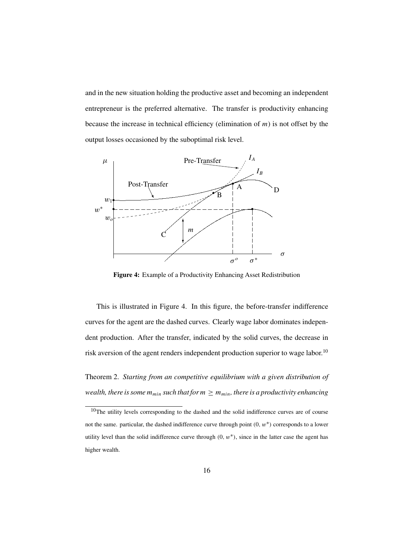and in the new situation holding the productive asset and becoming an independent entrepreneur is the preferred alternative. The transfer is productivity enhancing because the increase in technical efficiency (elimination of  $m$ ) is not offset by the output losses occasioned by the suboptimal risk level.



**Figure 4:** Example of a Productivity Enhancing Asset Redistribution

This is illustrated in Figure 4. In this figure, the before-transfer indifference curves for the agent are the dashed curves. Clearly wage labor dominates independent production. After the transfer, indicated by the solid curves, the decrease in risk aversion of the agent renders independent production superior to wage labor.<sup>10</sup>

Theorem 2. *Starting from an competitive equilibrium with a given distribution of wealth, there is some*  $m_{min}$  *such that for*  $m \geq m_{min}$ , there is a productivity enhancing

<sup>10</sup>The utility levels corresponding to the dashed and the solid indifference curves are of course not the same. particular, the dashed indifference curve through point  $(0, w^*)$  corresponds to a lower utility level than the solid indifference curve through  $(0, w^*)$ , since in the latter case the agent has higher wealth.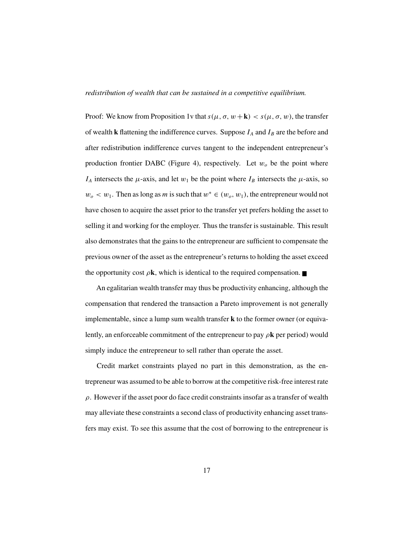#### *redistribution of wealth that can be sustained in a competitive equilibrium.*

Proof: We know from Proposition 1v that  $s(\mu, \sigma, w + \mathbf{k}) < s(\mu, \sigma, w)$ , the transfer of wealth **k** flattening the indifference curves. Suppose  $I_A$  and  $I_B$  are the before and after redistribution indifference curves tangent to the independent entrepreneur's production frontier DABC (Figure 4), respectively. Let  $w<sub>o</sub>$  be the point where  $I_A$  intersects the  $\mu$ -axis, and let  $w_1$  be the point where  $I_B$  intersects the  $\mu$ -axis, so  $w_0 < w_1$ . Then as long as m is such that  $w^* \in (w_0, w_1)$ , the entrepreneur would not have chosen to acquire the asset prior to the transfer yet prefers holding the asset to selling it and working for the employer. Thus the transfer is sustainable. This result also demonstrates that the gains to the entrepreneur are sufficient to compensate the previous owner of the asset as the entrepreneur's returns to holding the asset exceed the opportunity cost  $\rho$ **k**, which is identical to the required compensation.

An egalitarian wealth transfer may thus be productivity enhancing, although the compensation that rendered the transaction a Pareto improvement is not generally implementable, since a lump sum wealth transfer **k** to the former owner (or equivalently, an enforceable commitment of the entrepreneur to pay  $\rho$ **k** per period) would simply induce the entrepreneur to sell rather than operate the asset.

Credit market constraints played no part in this demonstration, as the entrepreneur was assumed to be able to borrow at the competitive risk-free interest rate  $\rho$ . However if the asset poor do face credit constraints insofar as a transfer of wealth may alleviate these constraints a second class of productivity enhancing asset transfers may exist. To see this assume that the cost of borrowing to the entrepreneur is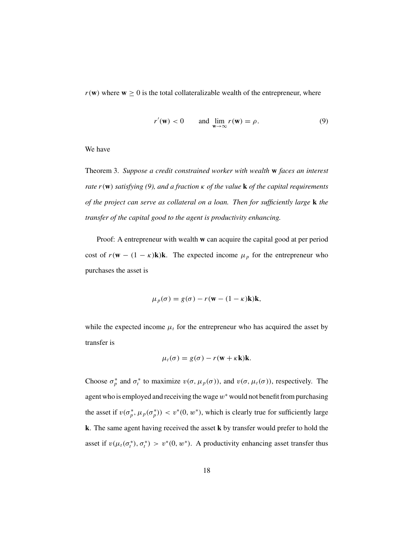$r(\mathbf{w})$  where  $\mathbf{w} \geq 0$  is the total collateralizable wealth of the entrepreneur, where

$$
r'(\mathbf{w}) < 0 \qquad \text{and} \ \lim_{\mathbf{w} \to \infty} r(\mathbf{w}) = \rho. \tag{9}
$$

We have

Theorem 3. *Suppose a credit constrained worker with wealth* **w** *faces an interest rate* r(**w**) *satisfying (9), and a fraction* κ *of the value* **k** *of the capital requirements of the project can serve as collateral on a loan. Then for sufficiently large* **k** *the transfer of the capital good to the agent is productivity enhancing.*

Proof: A entrepreneur with wealth **w** can acquire the capital good at per period cost of  $r(\mathbf{w} - (1 - \kappa)\mathbf{k})\mathbf{k}$ . The expected income  $\mu_p$  for the entrepreneur who purchases the asset is

$$
\mu_p(\sigma) = g(\sigma) - r(\mathbf{w} - (1 - \kappa)\mathbf{k})\mathbf{k},
$$

while the expected income  $\mu_t$  for the entrepreneur who has acquired the asset by transfer is

$$
\mu_t(\sigma) = g(\sigma) - r(\mathbf{w} + \kappa \mathbf{k})\mathbf{k}.
$$

Choose  $\sigma_p^*$  and  $\sigma_t^*$  to maximize  $v(\sigma, \mu_p(\sigma))$ , and  $v(\sigma, \mu_t(\sigma))$ , respectively. The agent who is employed and receiving the wage  $w^*$  would not benefit from purchasing the asset if  $v(\sigma_p^*, \mu_p(\sigma_p^*)) < v^*(0, w^*)$ , which is clearly true for sufficiently large **k**. The same agent having received the asset **k** by transfer would prefer to hold the asset if  $v(\mu_t(\sigma_t^*), \sigma_t^*) > v^*(0, w^*)$ . A productivity enhancing asset transfer thus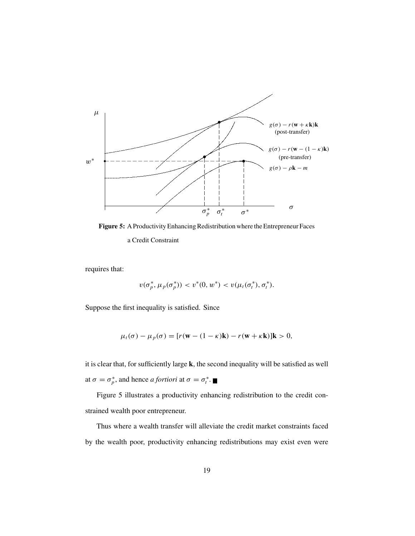

**Figure 5:** A Productivity Enhancing Redistribution where the Entrepreneur Faces a Credit Constraint

requires that:

$$
v(\sigma_p^*, \mu_p(\sigma_p^*)) < v^*(0, w^*) < v(\mu_t(\sigma_t^*), \sigma_t^*).
$$

Suppose the first inequality is satisfied. Since

$$
\mu_t(\sigma) - \mu_p(\sigma) = [r(\mathbf{w} - (1 - \kappa)\mathbf{k}) - r(\mathbf{w} + \kappa \mathbf{k})]\mathbf{k} > 0,
$$

it is clear that, for sufficiently large **k**, the second inequality will be satisfied as well at  $\sigma = \sigma_p^*$ , and hence *a fortiori* at  $\sigma = \sigma_t^*$ .

Figure 5 illustrates a productivity enhancing redistribution to the credit constrained wealth poor entrepreneur.

Thus where a wealth transfer will alleviate the credit market constraints faced by the wealth poor, productivity enhancing redistributions may exist even were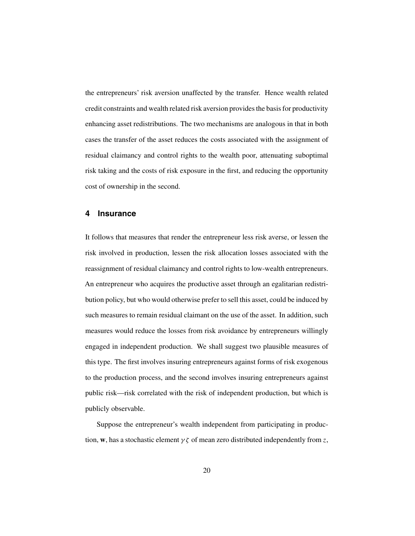the entrepreneurs' risk aversion unaffected by the transfer. Hence wealth related credit constraints and wealth related risk aversion provides the basis for productivity enhancing asset redistributions. The two mechanisms are analogous in that in both cases the transfer of the asset reduces the costs associated with the assignment of residual claimancy and control rights to the wealth poor, attenuating suboptimal risk taking and the costs of risk exposure in the first, and reducing the opportunity cost of ownership in the second.

## **4 Insurance**

It follows that measures that render the entrepreneur less risk averse, or lessen the risk involved in production, lessen the risk allocation losses associated with the reassignment of residual claimancy and control rights to low-wealth entrepreneurs. An entrepreneur who acquires the productive asset through an egalitarian redistribution policy, but who would otherwise prefer to sell this asset, could be induced by such measures to remain residual claimant on the use of the asset. In addition, such measures would reduce the losses from risk avoidance by entrepreneurs willingly engaged in independent production. We shall suggest two plausible measures of this type. The first involves insuring entrepreneurs against forms of risk exogenous to the production process, and the second involves insuring entrepreneurs against public risk—risk correlated with the risk of independent production, but which is publicly observable.

Suppose the entrepreneur's wealth independent from participating in production, **w**, has a stochastic element  $\gamma \zeta$  of mean zero distributed independently from z,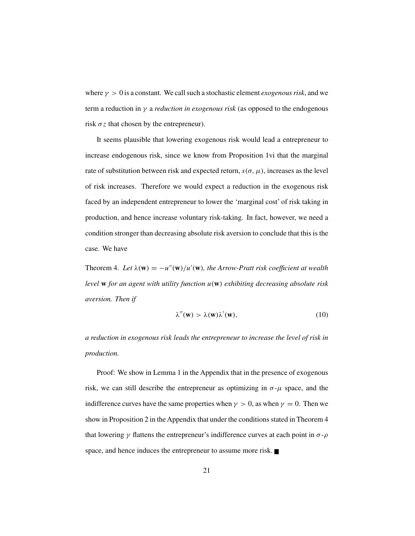where  $\gamma > 0$  is a constant. We call such a stochastic element *exogenous risk*, and we term a reduction in γ a *reduction in exogenous risk* (as opposed to the endogenous risk  $\sigma z$  that chosen by the entrepreneur).

It seems plausible that lowering exogenous risk would lead a entrepreneur to increase endogenous risk, since we know from Proposition 1vi that the marginal rate of substitution between risk and expected return,  $s(\sigma, \mu)$ , increases as the level of risk increases. Therefore we would expect a reduction in the exogenous risk faced by an independent entrepreneur to lower the 'marginal cost' of risk taking in production, and hence increase voluntary risk-taking. In fact, however, we need a condition stronger than decreasing absolute risk aversion to conclude that this is the case. We have

Theorem 4. Let  $\lambda(\mathbf{w}) = -u''(\mathbf{w})/u'(\mathbf{w})$ , the Arrow-Pratt risk coefficient at wealth *level* **w** *for an agent with utility function* u(**w**) *exhibiting decreasing absolute risk aversion. Then if*

$$
\lambda''(\mathbf{w}) > \lambda(\mathbf{w})\lambda'(\mathbf{w}),\tag{10}
$$

*a reduction in exogenous risk leads the entrepreneur to increase the level of risk in production.*

Proof: We show in Lemma 1 in the Appendix that in the presence of exogenous risk, we can still describe the entrepreneur as optimizing in  $\sigma$ - $\mu$  space, and the indifference curves have the same properties when  $\gamma > 0$ , as when  $\gamma = 0$ . Then we show in Proposition 2 in the Appendix that under the conditions stated in Theorem 4 that lowering γ flattens the entrepreneur's indifference curves at each point in  $σ$ - $ρ$ space, and hence induces the entrepreneur to assume more risk.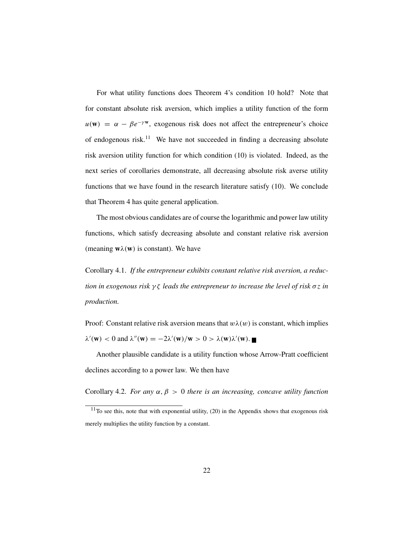For what utility functions does Theorem 4's condition 10 hold? Note that for constant absolute risk aversion, which implies a utility function of the form  $u(\mathbf{w}) = \alpha - \beta e^{-\gamma \mathbf{w}}$ , exogenous risk does not affect the entrepreneur's choice of endogenous risk.<sup>11</sup> We have not succeeded in finding a decreasing absolute risk aversion utility function for which condition (10) is violated. Indeed, as the next series of corollaries demonstrate, all decreasing absolute risk averse utility functions that we have found in the research literature satisfy (10). We conclude that Theorem 4 has quite general application.

The most obvious candidates are of course the logarithmic and power law utility functions, which satisfy decreasing absolute and constant relative risk aversion (meaning  $w\lambda(w)$  is constant). We have

Corollary 4.1. *If the entrepreneur exhibits constant relative risk aversion, a reduction in exogenous risk* γ ζ *leads the entrepreneur to increase the level of risk* σ z *in production.*

Proof: Constant relative risk aversion means that  $w\lambda(w)$  is constant, which implies  $\lambda'(\mathbf{w}) < 0$  and  $\lambda''(\mathbf{w}) = -2\lambda'(\mathbf{w})/\mathbf{w} > 0 > \lambda(\mathbf{w})\lambda'(\mathbf{w}).$ 

Another plausible candidate is a utility function whose Arrow-Pratt coefficient declines according to a power law. We then have

Corollary 4.2. *For any*  $\alpha$ ,  $\beta$  > 0 *there is an increasing, concave utility function* 

 $11$ To see this, note that with exponential utility, (20) in the Appendix shows that exogenous risk merely multiplies the utility function by a constant.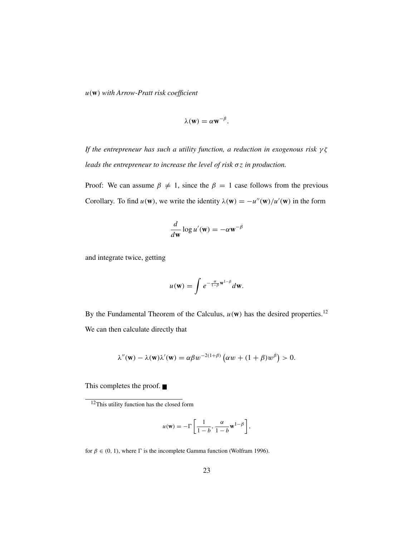u(**w**) *with Arrow-Pratt risk coefficient*

$$
\lambda(\mathbf{w}) = \alpha \mathbf{w}^{-\beta}.
$$

*If the entrepreneur has such a utility function, a reduction in exogenous risk* γ ζ *leads the entrepreneur to increase the level of risk* σ z *in production.*

Proof: We can assume  $\beta \neq 1$ , since the  $\beta = 1$  case follows from the previous Corollary. To find  $u(\mathbf{w})$ , we write the identity  $\lambda(\mathbf{w}) = -u''(\mathbf{w})/u'(\mathbf{w})$  in the form

$$
\frac{d}{d\mathbf{w}}\log u'(\mathbf{w}) = -\alpha \mathbf{w}^{-\beta}
$$

and integrate twice, getting

$$
u(\mathbf{w}) = \int e^{-\frac{\alpha}{1-\beta} \mathbf{w}^{1-\beta}} d\mathbf{w}.
$$

By the Fundamental Theorem of the Calculus,  $u(\mathbf{w})$  has the desired properties.<sup>12</sup> We can then calculate directly that

$$
\lambda''(\mathbf{w}) - \lambda(\mathbf{w})\lambda'(\mathbf{w}) = \alpha\beta w^{-2(1+\beta)} (\alpha w + (1+\beta)w^{\beta}) > 0.
$$

This completes the proof.

$$
u(\mathbf{w}) = -\Gamma \left[ \frac{1}{1-b}, \frac{\alpha}{1-b} \mathbf{w}^{1-\beta} \right],
$$

for  $\beta \in (0, 1)$ , where  $\Gamma$  is the incomplete Gamma function (Wolfram 1996).

<sup>&</sup>lt;sup>12</sup>This utility function has the closed form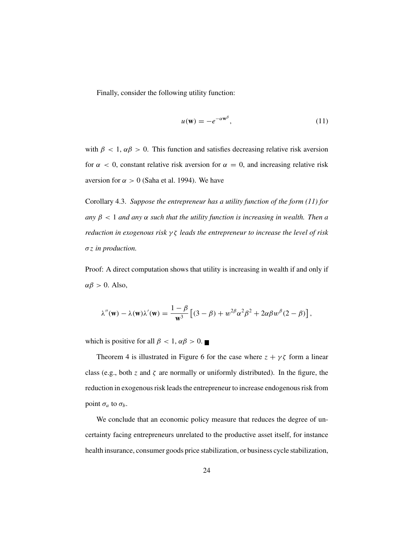Finally, consider the following utility function:

$$
u(\mathbf{w}) = -e^{-\alpha \mathbf{w}^{\beta}},\tag{11}
$$

with  $\beta$  < 1,  $\alpha\beta$  > 0. This function and satisfies decreasing relative risk aversion for  $\alpha$  < 0, constant relative risk aversion for  $\alpha = 0$ , and increasing relative risk aversion for  $\alpha > 0$  (Saha et al. 1994). We have

Corollary 4.3. *Suppose the entrepreneur has a utility function of the form (11) for any*  $\beta$  < 1 *and any*  $\alpha$  *such that the utility function is increasing in wealth. Then a reduction in exogenous risk* γ ζ *leads the entrepreneur to increase the level of risk* σ z *in production.*

Proof: A direct computation shows that utility is increasing in wealth if and only if  $\alpha\beta > 0$ . Also,

$$
\lambda''(\mathbf{w}) - \lambda(\mathbf{w})\lambda'(\mathbf{w}) = \frac{1-\beta}{\mathbf{w}^3} \left[ (3-\beta) + w^{2\beta} \alpha^2 \beta^2 + 2\alpha \beta w^{\beta} (2-\beta) \right],
$$

which is positive for all  $\beta < 1$ ,  $\alpha\beta > 0$ .

Theorem 4 is illustrated in Figure 6 for the case where  $z + \gamma \zeta$  form a linear class (e.g., both z and  $\zeta$  are normally or uniformly distributed). In the figure, the reduction in exogenous risk leads the entrepreneur to increase endogenous risk from point  $\sigma_a$  to  $\sigma_b$ .

We conclude that an economic policy measure that reduces the degree of uncertainty facing entrepreneurs unrelated to the productive asset itself, for instance health insurance, consumer goods price stabilization, or business cycle stabilization,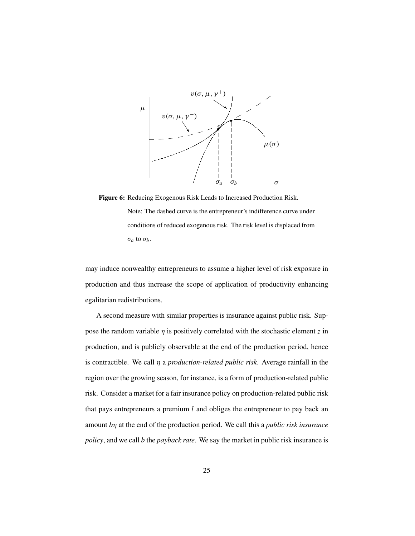

**Figure 6:** Reducing Exogenous Risk Leads to Increased Production Risk. Note: The dashed curve is the entrepreneur's indifference curve under conditions of reduced exogenous risk. The risk level is displaced from  $\sigma_a$  to  $\sigma_b$ .

may induce nonwealthy entrepreneurs to assume a higher level of risk exposure in production and thus increase the scope of application of productivity enhancing egalitarian redistributions.

A second measure with similar properties is insurance against public risk. Suppose the random variable  $\eta$  is positively correlated with the stochastic element z in production, and is publicly observable at the end of the production period, hence is contractible. We call  $\eta$  a *production-related public risk*. Average rainfall in the region over the growing season, for instance, is a form of production-related public risk. Consider a market for a fair insurance policy on production-related public risk that pays entrepreneurs a premium  $l$  and obliges the entrepreneur to pay back an amount bη at the end of the production period. We call this a *public risk insurance policy*, and we call b the *payback rate*. We say the market in public risk insurance is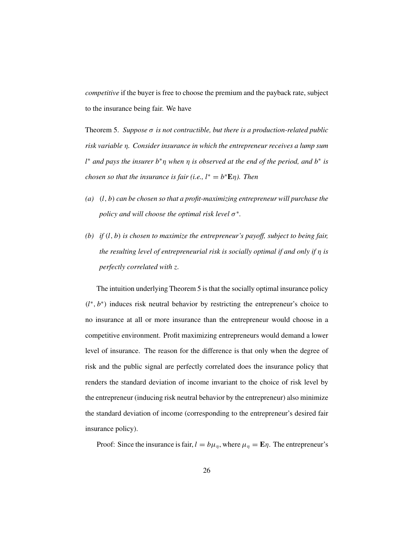*competitive* if the buyer is free to choose the premium and the payback rate, subject to the insurance being fair. We have

Theorem 5. *Suppose* σ *is not contractible, but there is a production-related public risk variable* η*. Consider insurance in which the entrepreneur receives a lump sum* l <sup>∗</sup> *and pays the insurer* b<sup>∗</sup>η *when* η *is observed at the end of the period, and* b<sup>∗</sup> *is chosen so that the insurance is fair (i.e.,*  $l^* = b^* \mathbf{E} \eta$ ). Then

- *(a)* (l, b) *can be chosen so that a profit-maximizing entrepreneur will purchase the policy and will choose the optimal risk level* σ<sup>∗</sup>*.*
- *(b) if* (l, b) *is chosen to maximize the entrepreneur's payoff, subject to being fair, the resulting level of entrepreneurial risk is socially optimal if and only if* η *is perfectly correlated with* z*.*

The intuition underlying Theorem 5 is that the socially optimal insurance policy  $(l^*, b^*)$  induces risk neutral behavior by restricting the entrepreneur's choice to no insurance at all or more insurance than the entrepreneur would choose in a competitive environment. Profit maximizing entrepreneurs would demand a lower level of insurance. The reason for the difference is that only when the degree of risk and the public signal are perfectly correlated does the insurance policy that renders the standard deviation of income invariant to the choice of risk level by the entrepreneur (inducing risk neutral behavior by the entrepreneur) also minimize the standard deviation of income (corresponding to the entrepreneur's desired fair insurance policy).

Proof: Since the insurance is fair,  $l = b\mu_{\eta}$ , where  $\mu_{\eta} = \mathbf{E}\eta$ . The entrepreneur's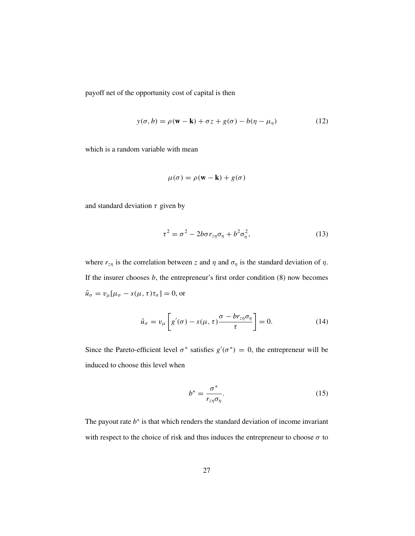payoff net of the opportunity cost of capital is then

$$
y(\sigma, b) = \rho(\mathbf{w} - \mathbf{k}) + \sigma z + g(\sigma) - b(\eta - \mu_{\eta})
$$
 (12)

which is a random variable with mean

$$
\mu(\sigma) = \rho(\mathbf{w} - \mathbf{k}) + g(\sigma)
$$

and standard deviation  $\tau$  given by

$$
\tau^2 = \sigma^2 - 2b\sigma r_{z\eta}\sigma_{\eta} + b^2 \sigma_{\eta}^2, \qquad (13)
$$

where  $r_{z\eta}$  is the correlation between z and  $\eta$  and  $\sigma_{\eta}$  is the standard deviation of  $\eta$ . If the insurer chooses  $b$ , the entrepreneur's first order condition  $(8)$  now becomes  $\tilde{u}_{\sigma} = v_{\mu} [\mu_{\sigma} - s(\mu, \tau) \tau_{\sigma}] = 0$ , or

$$
\tilde{u}_{\sigma} = v_{\mu} \left[ g'(\sigma) - s(\mu, \tau) \frac{\sigma - br_{z\eta} \sigma_{\eta}}{\tau} \right] = 0. \tag{14}
$$

Since the Pareto-efficient level  $\sigma^*$  satisfies  $g'(\sigma^*) = 0$ , the entrepreneur will be induced to choose this level when

$$
b^* = \frac{\sigma^*}{r_{z\eta}\sigma_{\eta}}.\tag{15}
$$

The payout rate  $b^*$  is that which renders the standard deviation of income invariant with respect to the choice of risk and thus induces the entrepreneur to choose  $\sigma$  to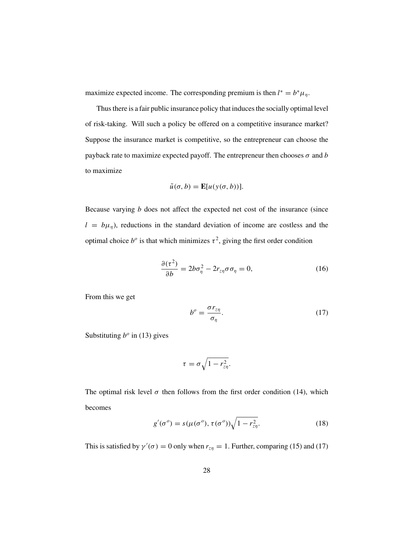maximize expected income. The corresponding premium is then  $l^* = b^* \mu_{\eta}$ .

Thus there is a fair public insurance policy that induces the socially optimal level of risk-taking. Will such a policy be offered on a competitive insurance market? Suppose the insurance market is competitive, so the entrepreneur can choose the payback rate to maximize expected payoff. The entrepreneur then chooses  $\sigma$  and  $b$ to maximize

$$
\tilde{u}(\sigma, b) = \mathbf{E}[u(y(\sigma, b))].
$$

Because varying  $b$  does not affect the expected net cost of the insurance (since  $l = b\mu_{\eta}$ , reductions in the standard deviation of income are costless and the optimal choice  $b^{\circ}$  is that which minimizes  $\tau^2$ , giving the first order condition

$$
\frac{\partial(\tau^2)}{\partial b} = 2b\sigma_{\eta}^2 - 2r_{z\eta}\sigma_{\eta} = 0, \qquad (16)
$$

From this we get

$$
b^o = \frac{\sigma r_{z\eta}}{\sigma_{\eta}}.\tag{17}
$$

Substituting  $b^o$  in (13) gives

$$
\tau = \sigma \sqrt{1 - r_{z\eta}^2}.
$$

The optimal risk level  $\sigma$  then follows from the first order condition (14), which becomes

$$
g'(\sigma^o) = s(\mu(\sigma^o), \tau(\sigma^o))\sqrt{1 - r_{z\eta}^2}.
$$
 (18)

This is satisfied by  $\gamma'(\sigma) = 0$  only when  $r_{z\eta} = 1$ . Further, comparing (15) and (17)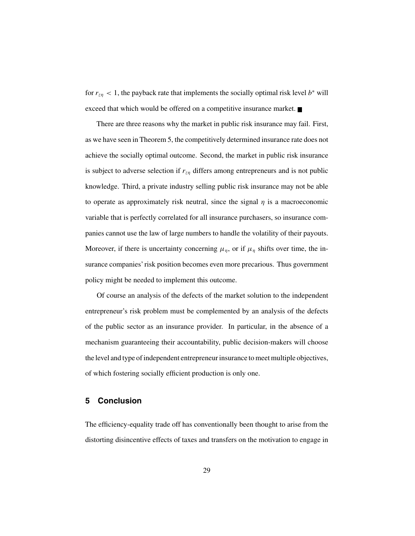for  $r_{z\eta}$  < 1, the payback rate that implements the socially optimal risk level b<sup>\*</sup> will exceed that which would be offered on a competitive insurance market.

There are three reasons why the market in public risk insurance may fail. First, as we have seen in Theorem 5, the competitively determined insurance rate does not achieve the socially optimal outcome. Second, the market in public risk insurance is subject to adverse selection if  $r_{zn}$  differs among entrepreneurs and is not public knowledge. Third, a private industry selling public risk insurance may not be able to operate as approximately risk neutral, since the signal  $\eta$  is a macroeconomic variable that is perfectly correlated for all insurance purchasers, so insurance companies cannot use the law of large numbers to handle the volatility of their payouts. Moreover, if there is uncertainty concerning  $\mu_{\eta}$ , or if  $\mu_{\eta}$  shifts over time, the insurance companies' risk position becomes even more precarious. Thus government policy might be needed to implement this outcome.

Of course an analysis of the defects of the market solution to the independent entrepreneur's risk problem must be complemented by an analysis of the defects of the public sector as an insurance provider. In particular, in the absence of a mechanism guaranteeing their accountability, public decision-makers will choose the level and type of independent entrepreneur insurance to meet multiple objectives, of which fostering socially efficient production is only one.

### **5 Conclusion**

The efficiency-equality trade off has conventionally been thought to arise from the distorting disincentive effects of taxes and transfers on the motivation to engage in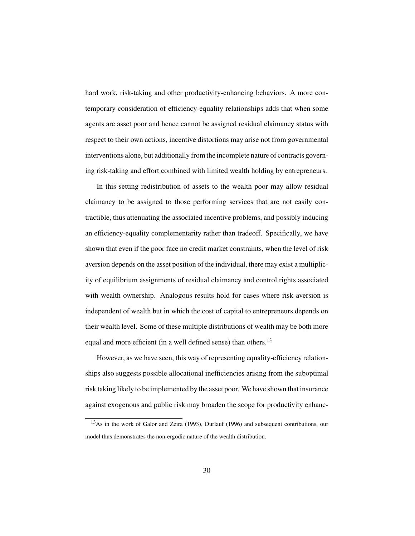hard work, risk-taking and other productivity-enhancing behaviors. A more contemporary consideration of efficiency-equality relationships adds that when some agents are asset poor and hence cannot be assigned residual claimancy status with respect to their own actions, incentive distortions may arise not from governmental interventions alone, but additionally from the incomplete nature of contracts governing risk-taking and effort combined with limited wealth holding by entrepreneurs.

In this setting redistribution of assets to the wealth poor may allow residual claimancy to be assigned to those performing services that are not easily contractible, thus attenuating the associated incentive problems, and possibly inducing an efficiency-equality complementarity rather than tradeoff. Specifically, we have shown that even if the poor face no credit market constraints, when the level of risk aversion depends on the asset position of the individual, there may exist a multiplicity of equilibrium assignments of residual claimancy and control rights associated with wealth ownership. Analogous results hold for cases where risk aversion is independent of wealth but in which the cost of capital to entrepreneurs depends on their wealth level. Some of these multiple distributions of wealth may be both more equal and more efficient (in a well defined sense) than others.<sup>13</sup>

However, as we have seen, this way of representing equality-efficiency relationships also suggests possible allocational inefficiencies arising from the suboptimal risk taking likely to be implemented by the asset poor. We have shown that insurance against exogenous and public risk may broaden the scope for productivity enhanc-

<sup>13</sup>As in the work of Galor and Zeira (1993), Durlauf (1996) and subsequent contributions, our model thus demonstrates the non-ergodic nature of the wealth distribution.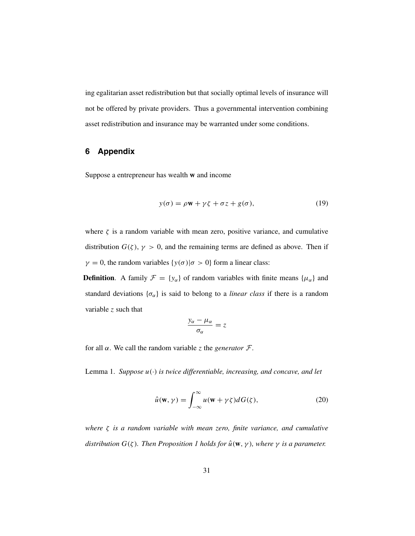ing egalitarian asset redistribution but that socially optimal levels of insurance will not be offered by private providers. Thus a governmental intervention combining asset redistribution and insurance may be warranted under some conditions.

## **6 Appendix**

Suppose a entrepreneur has wealth **w** and income

$$
y(\sigma) = \rho \mathbf{w} + \gamma \zeta + \sigma z + g(\sigma), \tag{19}
$$

where  $\zeta$  is a random variable with mean zero, positive variance, and cumulative distribution  $G(\zeta)$ ,  $\gamma > 0$ , and the remaining terms are defined as above. Then if  $\gamma = 0$ , the random variables  $\{y(\sigma) | \sigma > 0\}$  form a linear class:

**Definition**. A family  $\mathcal{F} = \{y_\alpha\}$  of random variables with finite means  $\{\mu_\alpha\}$  and standard deviations  $\{\sigma_{\alpha}\}\$ is said to belong to a *linear class* if there is a random variable z such that

$$
\frac{y_{\alpha} - \mu_{\alpha}}{\sigma_{\alpha}} = z
$$

for all  $\alpha$ . We call the random variable z the *generator*  $\mathcal{F}$ .

Lemma 1. *Suppose* u(·) *is twice differentiable, increasing, and concave, and let*

$$
\hat{u}(\mathbf{w}, \gamma) = \int_{-\infty}^{\infty} u(\mathbf{w} + \gamma \zeta) dG(\zeta), \qquad (20)
$$

*where* ζ *is a random variable with mean zero, finite variance, and cumulative distribution*  $G(\zeta)$ *. Then Proposition 1 holds for*  $\hat{u}(\mathbf{w}, \gamma)$ *, where*  $\gamma$  *is a parameter.*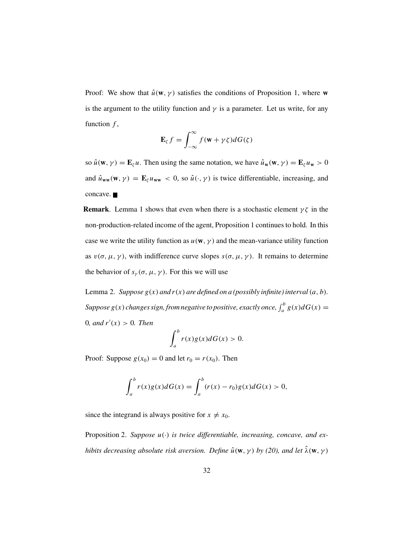Proof: We show that  $\hat{u}(\mathbf{w}, \gamma)$  satisfies the conditions of Proposition 1, where **w** is the argument to the utility function and  $\gamma$  is a parameter. Let us write, for any function  $f$ ,

$$
\mathbf{E}_{\zeta}f = \int_{-\infty}^{\infty} f(\mathbf{w} + \gamma \zeta) dG(\zeta)
$$

so  $\hat{u}(\mathbf{w}, \gamma) = \mathbf{E}_{\zeta} u$ . Then using the same notation, we have  $\hat{u}_{\mathbf{w}}(\mathbf{w}, \gamma) = \mathbf{E}_{\zeta} u_{\mathbf{w}} > 0$ and  $\hat{u}_{ww}(w, \gamma) = \mathbf{E}_{\zeta} u_{ww} < 0$ , so  $\hat{u}(\cdot, \gamma)$  is twice differentiable, increasing, and concave.

**Remark**. Lemma 1 shows that even when there is a stochastic element  $\gamma \zeta$  in the non-production-related income of the agent, Proposition 1 continues to hold. In this case we write the utility function as  $u(\mathbf{w}, \gamma)$  and the mean-variance utility function as  $v(\sigma, \mu, \gamma)$ , with indifference curve slopes  $s(\sigma, \mu, \gamma)$ . It remains to determine the behavior of  $s_{\gamma}(\sigma, \mu, \gamma)$ . For this we will use

Lemma 2. *Suppose*  $g(x)$  *and*  $r(x)$  *are defined on a (possibly infinite) interval*  $(a, b)$ *.* Suppose  $g(x)$  changes sign, from negative to positive, exactly once,  $\int_a^b g(x)dG(x) =$  $0,$  and  $r'(x) > 0$ . Then

$$
\int_a^b r(x)g(x)dG(x) > 0.
$$

Proof: Suppose  $g(x_0) = 0$  and let  $r_0 = r(x_0)$ . Then

$$
\int_{a}^{b} r(x)g(x)dG(x) = \int_{a}^{b} (r(x) - r_0)g(x)dG(x) > 0,
$$

since the integrand is always positive for  $x \neq x_0$ .

Proposition 2. Suppose  $u(\cdot)$  is twice differentiable, increasing, concave, and ex*hibits decreasing absolute risk aversion. Define*  $\hat{u}(\mathbf{w}, \gamma)$  *by (20), and let*  $\hat{\lambda}(\mathbf{w}, \gamma)$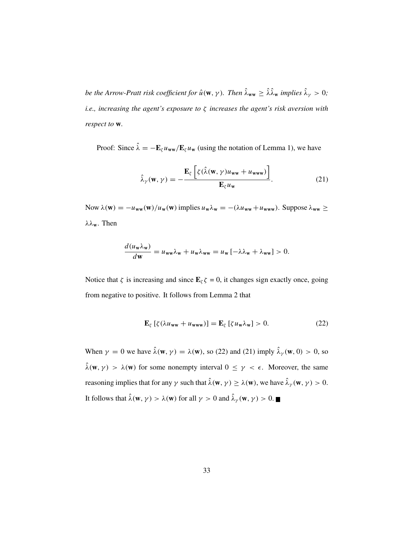*be the Arrow-Pratt risk coefficient for*  $\hat{u}(\mathbf{w}, \gamma)$ *. Then*  $\hat{\lambda}_{\mathbf{w}} \geq \hat{\lambda} \hat{\lambda}_{\mathbf{w}}$  *implies*  $\hat{\lambda}_{\gamma} > 0$ *; i.e., increasing the agent's exposure to* ζ *increases the agent's risk aversion with respect to* **w***.*

Proof: Since  $\hat{\lambda} = -\mathbf{E}_{\zeta} u_{\mathbf{w}\mathbf{w}} / \mathbf{E}_{\zeta} u_{\mathbf{w}}$  (using the notation of Lemma 1), we have

$$
\hat{\lambda}_{\gamma}(\mathbf{w}, \gamma) = -\frac{\mathbf{E}_{\zeta} \left[ \zeta(\hat{\lambda}(\mathbf{w}, \gamma) u_{\mathbf{w}\mathbf{w}} + u_{\mathbf{w}\mathbf{w}\mathbf{w}}) \right]}{\mathbf{E}_{\zeta} u_{\mathbf{w}}}.
$$
(21)

Now  $\lambda(\mathbf{w}) = -u_{\mathbf{w}\mathbf{w}}(\mathbf{w})/u_{\mathbf{w}}(\mathbf{w})$  implies  $u_{\mathbf{w}}\lambda_{\mathbf{w}} = -(\lambda u_{\mathbf{w}\mathbf{w}} + u_{\mathbf{w}\mathbf{w}\mathbf{w}})$ . Suppose  $\lambda_{\mathbf{w}\mathbf{w}} \ge$ λλ**w**. Then

$$
\frac{d(u_{\mathbf{w}}\lambda_{\mathbf{w}})}{d\mathbf{w}} = u_{\mathbf{w}\mathbf{w}}\lambda_{\mathbf{w}} + u_{\mathbf{w}}\lambda_{\mathbf{w}\mathbf{w}} = u_{\mathbf{w}}\left[-\lambda\lambda_{\mathbf{w}} + \lambda_{\mathbf{w}\mathbf{w}}\right] > 0.
$$

Notice that  $\zeta$  is increasing and since  $\mathbf{E}_{\zeta} \zeta = 0$ , it changes sign exactly once, going from negative to positive. It follows from Lemma 2 that

$$
\mathbf{E}_{\zeta} \left[ \zeta (\lambda u_{\mathbf{w}\mathbf{w}} + u_{\mathbf{w}\mathbf{w}\mathbf{w}}) \right] = \mathbf{E}_{\zeta} \left[ \zeta u_{\mathbf{w}} \lambda_{\mathbf{w}} \right] > 0. \tag{22}
$$

When  $\gamma = 0$  we have  $\hat{\lambda}(\mathbf{w}, \gamma) = \lambda(\mathbf{w})$ , so (22) and (21) imply  $\hat{\lambda}_{\gamma}(\mathbf{w}, 0) > 0$ , so  $\hat{\lambda}(\mathbf{w}, \gamma) > \lambda(\mathbf{w})$  for some nonempty interval  $0 \leq \gamma < \epsilon$ . Moreover, the same reasoning implies that for any  $\gamma$  such that  $\hat{\lambda}(\mathbf{w}, \gamma) \geq \lambda(\mathbf{w})$ , we have  $\hat{\lambda}_{\gamma}(\mathbf{w}, \gamma) > 0$ . It follows that  $\hat{\lambda}(\mathbf{w}, \gamma) > \lambda(\mathbf{w})$  for all  $\gamma > 0$  and  $\hat{\lambda}_{\gamma}(\mathbf{w}, \gamma) > 0$ .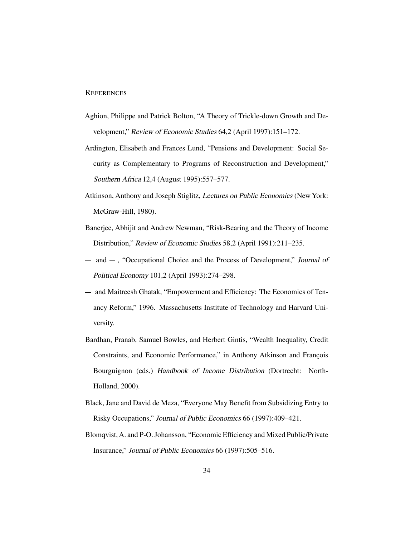#### **REFERENCES**

- Aghion, Philippe and Patrick Bolton, "A Theory of Trickle-down Growth and Development," Review of Economic Studies 64,2 (April 1997):151–172.
- Ardington, Elisabeth and Frances Lund, "Pensions and Development: Social Security as Complementary to Programs of Reconstruction and Development," Southern Africa 12,4 (August 1995):557–577.
- Atkinson, Anthony and Joseph Stiglitz, Lectures on Public Economics (New York: McGraw-Hill, 1980).
- Banerjee, Abhijit and Andrew Newman, "Risk-Bearing and the Theory of Income Distribution," Review of Economic Studies 58,2 (April 1991):211–235.
- $-$  and  $-$ , "Occupational Choice and the Process of Development," Journal of Political Economy 101,2 (April 1993):274–298.
- and Maitreesh Ghatak, "Empowerment and Efficiency: The Economics of Tenancy Reform," 1996. Massachusetts Institute of Technology and Harvard University.
- Bardhan, Pranab, Samuel Bowles, and Herbert Gintis, "Wealth Inequality, Credit Constraints, and Economic Performance," in Anthony Atkinson and François Bourguignon (eds.) Handbook of Income Distribution (Dortrecht: North-Holland, 2000).
- Black, Jane and David de Meza, "Everyone May Benefit from Subsidizing Entry to Risky Occupations," Journal of Public Economics 66 (1997):409–421.
- Blomqvist, A. and P-O. Johansson, "Economic Efficiency and Mixed Public/Private Insurance," Journal of Public Economics 66 (1997):505–516.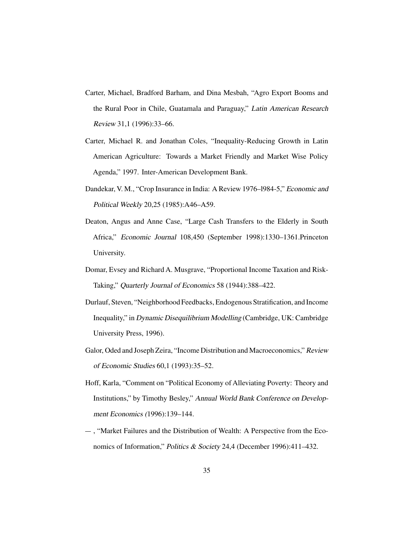- Carter, Michael, Bradford Barham, and Dina Mesbah, "Agro Export Booms and the Rural Poor in Chile, Guatamala and Paraguay," Latin American Research Review 31,1 (1996):33–66.
- Carter, Michael R. and Jonathan Coles, "Inequality-Reducing Growth in Latin American Agriculture: Towards a Market Friendly and Market Wise Policy Agenda," 1997. Inter-American Development Bank.
- Dandekar, V. M., "Crop Insurance in India: A Review 1976–l984-5," Economic and Political Weekly 20,25 (1985):A46–A59.
- Deaton, Angus and Anne Case, "Large Cash Transfers to the Elderly in South Africa," Economic Journal 108,450 (September 1998):1330–1361.Princeton University.
- Domar, Evsey and Richard A. Musgrave, "Proportional Income Taxation and Risk-Taking," Quarterly Journal of Economics 58 (1944):388–422.
- Durlauf, Steven, "Neighborhood Feedbacks, Endogenous Stratification, and Income Inequality," in Dynamic Disequilibrium Modelling (Cambridge, UK: Cambridge University Press, 1996).
- Galor, Oded and Joseph Zeira, "Income Distribution and Macroeconomics," Review of Economic Studies 60,1 (1993):35–52.
- Hoff, Karla, "Comment on "Political Economy of Alleviating Poverty: Theory and Institutions," by Timothy Besley," Annual World Bank Conference on Development Economics (1996):139–144.
- , "Market Failures and the Distribution of Wealth: A Perspective from the Economics of Information," Politics & Society 24,4 (December 1996):411–432.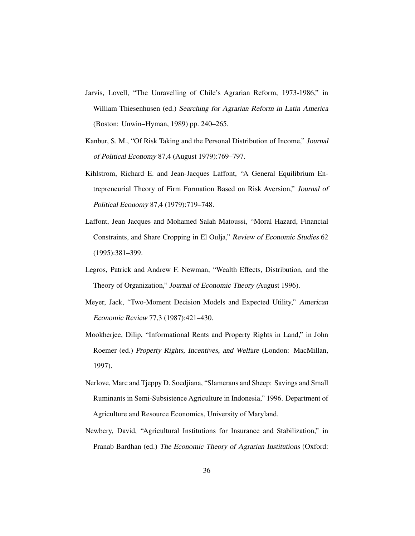- Jarvis, Lovell, "The Unravelling of Chile's Agrarian Reform, 1973-1986," in William Thiesenhusen (ed.) Searching for Agrarian Reform in Latin America (Boston: Unwin–Hyman, 1989) pp. 240–265.
- Kanbur, S. M., "Of Risk Taking and the Personal Distribution of Income," Journal of Political Economy 87,4 (August 1979):769–797.
- Kihlstrom, Richard E. and Jean-Jacques Laffont, "A General Equilibrium Entrepreneurial Theory of Firm Formation Based on Risk Aversion," Journal of Political Economy 87,4 (1979):719–748.
- Laffont, Jean Jacques and Mohamed Salah Matoussi, "Moral Hazard, Financial Constraints, and Share Cropping in El Oulja," Review of Economic Studies 62 (1995):381–399.
- Legros, Patrick and Andrew F. Newman, "Wealth Effects, Distribution, and the Theory of Organization," Journal of Economic Theory (August 1996).
- Meyer, Jack, "Two-Moment Decision Models and Expected Utility," American Economic Review 77,3 (1987):421–430.
- Mookherjee, Dilip, "Informational Rents and Property Rights in Land," in John Roemer (ed.) Property Rights, Incentives, and Welfare (London: MacMillan, 1997).
- Nerlove, Marc and Tjeppy D. Soedjiana, "Slamerans and Sheep: Savings and Small Ruminants in Semi-Subsistence Agriculture in Indonesia," 1996. Department of Agriculture and Resource Economics, University of Maryland.
- Newbery, David, "Agricultural Institutions for Insurance and Stabilization," in Pranab Bardhan (ed.) The Economic Theory of Agrarian Institutions (Oxford: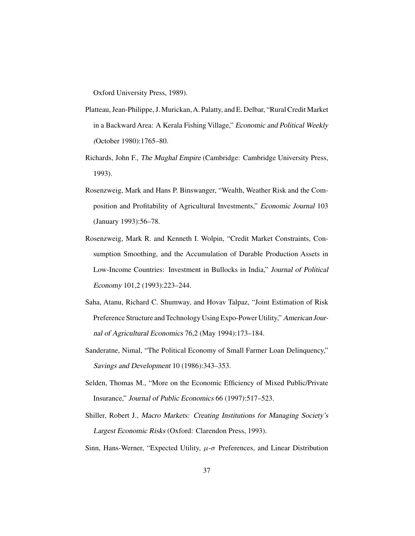Oxford University Press, 1989).

- Platteau, Jean-Philippe, J. Murickan,A. Palatty, and E. Delbar, "Rural Credit Market in a Backward Area: A Kerala Fishing Village," Economic and Political Weekly (October 1980):1765–80.
- Richards, John F., The Mughal Empire (Cambridge: Cambridge University Press, 1993).
- Rosenzweig, Mark and Hans P. Binswanger, "Wealth, Weather Risk and the Composition and Profitability of Agricultural Investments," Economic Journal 103 (January 1993):56–78.
- Rosenzweig, Mark R. and Kenneth I. Wolpin, "Credit Market Constraints, Consumption Smoothing, and the Accumulation of Durable Production Assets in Low-Income Countries: Investment in Bullocks in India," Journal of Political Economy 101,2 (1993):223–244.
- Saha, Atanu, Richard C. Shumway, and Hovav Talpaz, "Joint Estimation of Risk Preference Structure and Technology Using Expo-Power Utility," American Journal of Agricultural Economics 76,2 (May 1994):173–184.
- Sanderatne, Nimal, "The Political Economy of Small Farmer Loan Delinquency," Savings and Development 10 (1986):343–353.
- Selden, Thomas M., "More on the Economic Efficiency of Mixed Public/Private Insurance," Journal of Public Economics 66 (1997):517–523.
- Shiller, Robert J., Macro Markets: Creating Institutions for Managing Society's Largest Economic Risks (Oxford: Clarendon Press, 1993).

Sinn, Hans-Werner, "Expected Utility,  $\mu$ - $\sigma$  Preferences, and Linear Distribution